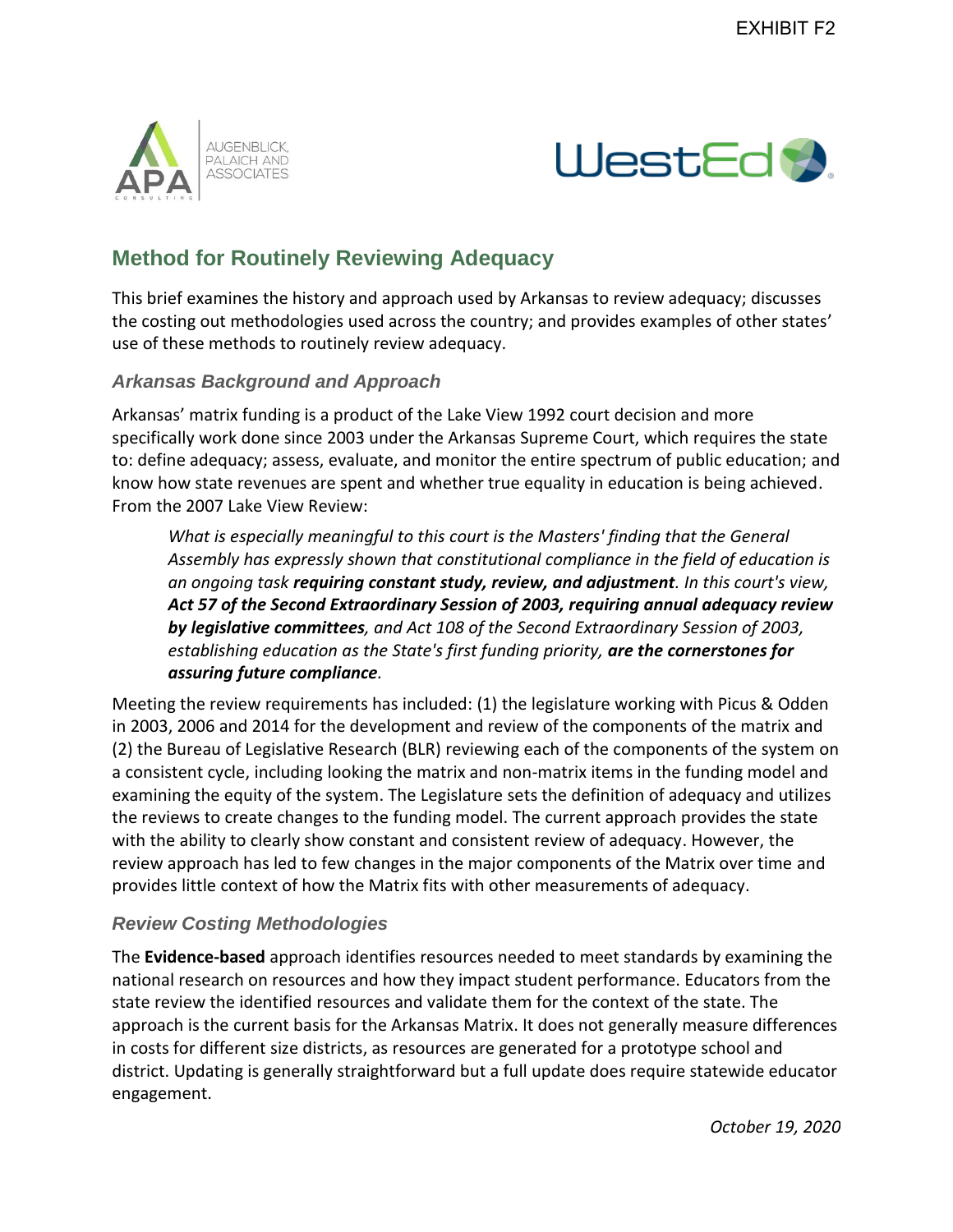



## **Method for Routinely Reviewing Adequacy**

This brief examines the history and approach used by Arkansas to review adequacy; discusses the costing out methodologies used across the country; and provides examples of other states' use of these methods to routinely review adequacy.

## *Arkansas Background and Approach*

Arkansas' matrix funding is a product of the Lake View 1992 court decision and more specifically work done since 2003 under the Arkansas Supreme Court, which requires the state to: define adequacy; assess, evaluate, and monitor the entire spectrum of public education; and know how state revenues are spent and whether true equality in education is being achieved. From the 2007 Lake View Review:

*What is especially meaningful to this court is the Masters' finding that the General Assembly has expressly shown that constitutional compliance in the field of education is an ongoing task requiring constant study, review, and adjustment. In this court's view, Act 57 of the Second Extraordinary Session of 2003, requiring annual adequacy review by legislative committees, and Act 108 of the Second Extraordinary Session of 2003, establishing education as the State's first funding priority, are the cornerstones for assuring future compliance.* 

Meeting the review requirements has included: (1) the legislature working with Picus & Odden in 2003, 2006 and 2014 for the development and review of the components of the matrix and (2) the Bureau of Legislative Research (BLR) reviewing each of the components of the system on a consistent cycle, including looking the matrix and non-matrix items in the funding model and examining the equity of the system. The Legislature sets the definition of adequacy and utilizes the reviews to create changes to the funding model. The current approach provides the state with the ability to clearly show constant and consistent review of adequacy. However, the review approach has led to few changes in the major components of the Matrix over time and provides little context of how the Matrix fits with other measurements of adequacy.

## *Review Costing Methodologies*

The **Evidence-based** approach identifies resources needed to meet standards by examining the national research on resources and how they impact student performance. Educators from the state review the identified resources and validate them for the context of the state. The approach is the current basis for the Arkansas Matrix. It does not generally measure differences in costs for different size districts, as resources are generated for a prototype school and district. Updating is generally straightforward but a full update does require statewide educator engagement.